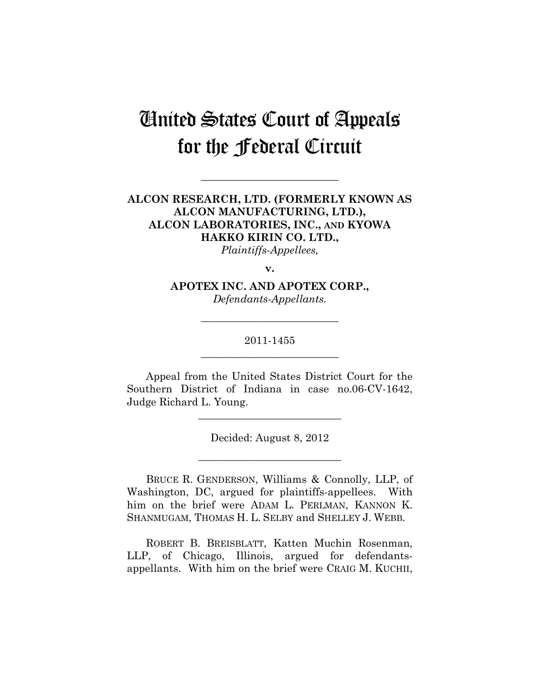# United States Court of Appeals for the Federal Circuit

## **ALCON RESEARCH, LTD. (FORMERLY KNOWN AS ALCON MANUFACTURING, LTD.), ALCON LABORATORIES, INC., AND KYOWA HAKKO KIRIN CO. LTD.,**

**\_\_\_\_\_\_\_\_\_\_\_\_\_\_\_\_\_\_\_\_\_\_\_\_\_\_** 

*Plaintiffs-Appellees,* 

**v.** 

**APOTEX INC. AND APOTEX CORP.,**  *Defendants-Appellants.* 

## 2011-1455 **\_\_\_\_\_\_\_\_\_\_\_\_\_\_\_\_\_\_\_\_\_\_\_\_\_\_**

**\_\_\_\_\_\_\_\_\_\_\_\_\_\_\_\_\_\_\_\_\_\_\_\_\_\_** 

Appeal from the United States District Court for the Southern District of Indiana in case no.06-CV-1642, Judge Richard L. Young.

**\_\_\_\_\_\_\_\_\_\_\_\_\_\_\_\_\_\_\_\_\_\_\_\_\_\_\_** 

Decided: August 8, 2012

**\_\_\_\_\_\_\_\_\_\_\_\_\_\_\_\_\_\_\_\_\_\_\_\_\_\_\_** 

BRUCE R. GENDERSON, Williams & Connolly, LLP, of Washington, DC, argued for plaintiffs-appellees. With him on the brief were ADAM L. PERLMAN, KANNON K. SHANMUGAM, THOMAS H. L. SELBY and SHELLEY J. WEBB.

ROBERT B. BREISBLATT, Katten Muchin Rosenman, LLP, of Chicago, Illinois, argued for defendantsappellants. With him on the brief were CRAIG M. KUCHII,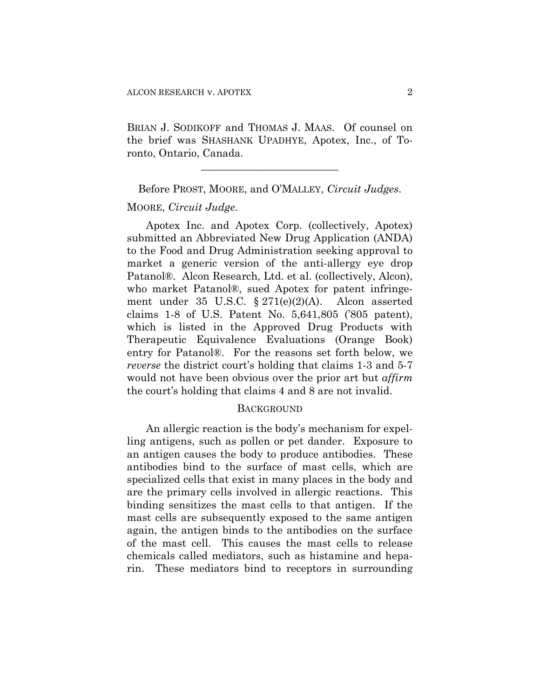BRIAN J. SODIKOFF and THOMAS J. MAAS. Of counsel on the brief was SHASHANK UPADHYE, Apotex, Inc., of Toronto, Ontario, Canada.

**\_\_\_\_\_\_\_\_\_\_\_\_\_\_\_\_\_\_\_\_\_\_\_\_\_\_** 

Before PROST, MOORE, and O'MALLEY, *Circuit Judges*.

#### MOORE, *Circuit Judge*.

Apotex Inc. and Apotex Corp. (collectively, Apotex) submitted an Abbreviated New Drug Application (ANDA) to the Food and Drug Administration seeking approval to market a generic version of the anti-allergy eye drop Patanol®. Alcon Research, Ltd. et al. (collectively, Alcon), who market Patanol®, sued Apotex for patent infringement under 35 U.S.C. § 271(e)(2)(A). Alcon asserted claims 1-8 of U.S. Patent No. 5,641,805 ('805 patent), which is listed in the Approved Drug Products with Therapeutic Equivalence Evaluations (Orange Book) entry for Patanol®. For the reasons set forth below, we *reverse* the district court's holding that claims 1-3 and 5-7 would not have been obvious over the prior art but *affirm* the court's holding that claims 4 and 8 are not invalid.

#### **BACKGROUND**

An allergic reaction is the body's mechanism for expelling antigens, such as pollen or pet dander. Exposure to an antigen causes the body to produce antibodies. These antibodies bind to the surface of mast cells, which are specialized cells that exist in many places in the body and are the primary cells involved in allergic reactions. This binding sensitizes the mast cells to that antigen. If the mast cells are subsequently exposed to the same antigen again, the antigen binds to the antibodies on the surface of the mast cell. This causes the mast cells to release chemicals called mediators, such as histamine and heparin. These mediators bind to receptors in surrounding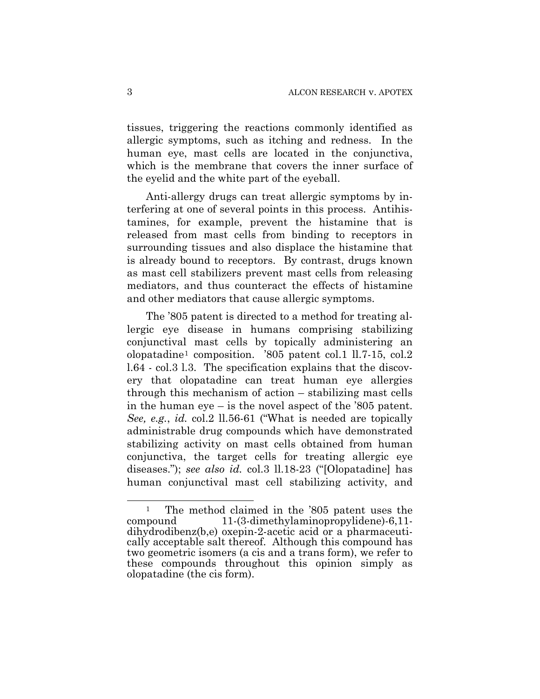tissues, triggering the reactions commonly identified as allergic symptoms, such as itching and redness. In the human eye, mast cells are located in the conjunctiva, which is the membrane that covers the inner surface of the eyelid and the white part of the eyeball.

Anti-allergy drugs can treat allergic symptoms by interfering at one of several points in this process. Antihistamines, for example, prevent the histamine that is released from mast cells from binding to receptors in surrounding tissues and also displace the histamine that is already bound to receptors. By contrast, drugs known as mast cell stabilizers prevent mast cells from releasing mediators, and thus counteract the effects of histamine and other mediators that cause allergic symptoms.

The '805 patent is directed to a method for treating allergic eye disease in humans comprising stabilizing conjunctival mast cells by topically administering an olopatadine[1](#page-2-0) composition. '805 patent col.1 ll.7-15, col.2 l.64 - col.3 l.3. The specification explains that the discovery that olopatadine can treat human eye allergies through this mechanism of action – stabilizing mast cells in the human eye – is the novel aspect of the '805 patent. *See, e.g.*, *id.* col.2 ll.56-61 ("What is needed are topically administrable drug compounds which have demonstrated stabilizing activity on mast cells obtained from human conjunctiva, the target cells for treating allergic eye diseases."); *see also id.* col.3 ll.18-23 ("[Olopatadine] has human conjunctival mast cell stabilizing activity, and

 $\overline{a}$ 

<span id="page-2-0"></span><sup>&</sup>lt;sup>1</sup> The method claimed in the '805 patent uses the compound 11-(3-dimethylaminopropylidene)-6,11 dihydrodibenz(b,e) oxepin-2-acetic acid or a pharmaceutically acceptable salt thereof. Although this compound has two geometric isomers (a cis and a trans form), we refer to these compounds throughout this opinion simply as olopatadine (the cis form).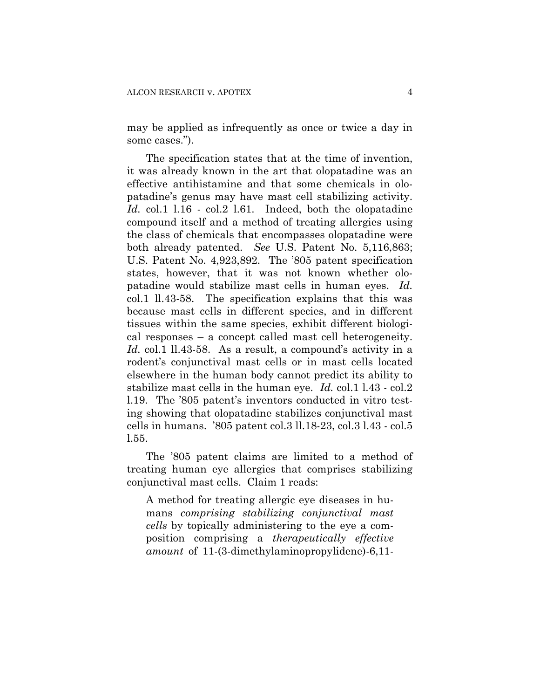may be applied as infrequently as once or twice a day in some cases.").

The specification states that at the time of invention, it was already known in the art that olopatadine was an effective antihistamine and that some chemicals in olopatadine's genus may have mast cell stabilizing activity. *Id.* col.1 l.16 - col.2 l.61. Indeed, both the olopatadine compound itself and a method of treating allergies using the class of chemicals that encompasses olopatadine were both already patented. *See* U.S. Patent No. 5,116,863; U.S. Patent No. 4,923,892. The '805 patent specification states, however, that it was not known whether olopatadine would stabilize mast cells in human eyes. *Id.* col.1 ll.43-58. The specification explains that this was because mast cells in different species, and in different tissues within the same species, exhibit different biological responses – a concept called mast cell heterogeneity. Id. col.1 ll.43-58. As a result, a compound's activity in a rodent's conjunctival mast cells or in mast cells located elsewhere in the human body cannot predict its ability to stabilize mast cells in the human eye. *Id.* col.1 l.43 - col.2 l.19. The '805 patent's inventors conducted in vitro testing showing that olopatadine stabilizes conjunctival mast cells in humans. '805 patent col.3 ll.18-23, col.3 l.43 - col.5 l.55.

The '805 patent claims are limited to a method of treating human eye allergies that comprises stabilizing conjunctival mast cells. Claim 1 reads:

A method for treating allergic eye diseases in humans *comprising stabilizing conjunctival mast cells* by topically administering to the eye a composition comprising a *therapeutically effective amount* of 11-(3-dimethylaminopropylidene)-6,11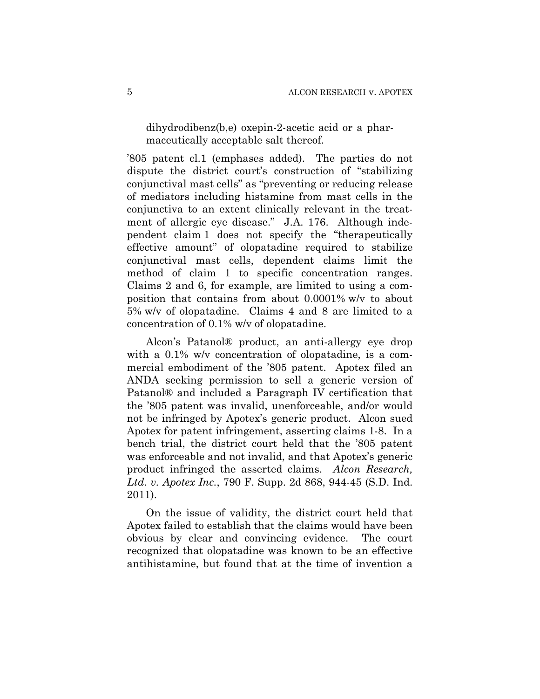dihydrodibenz(b,e) oxepin-2-acetic acid or a pharmaceutically acceptable salt thereof.

'805 patent cl.1 (emphases added). The parties do not dispute the district court's construction of "stabilizing conjunctival mast cells" as "preventing or reducing release of mediators including histamine from mast cells in the conjunctiva to an extent clinically relevant in the treatment of allergic eye disease." J.A. 176. Although independent claim 1 does not specify the "therapeutically effective amount" of olopatadine required to stabilize conjunctival mast cells, dependent claims limit the method of claim 1 to specific concentration ranges. Claims 2 and 6, for example, are limited to using a composition that contains from about 0.0001% w/v to about 5% w/v of olopatadine. Claims 4 and 8 are limited to a concentration of 0.1% w/v of olopatadine.

Alcon's Patanol® product, an anti-allergy eye drop with a  $0.1\%$  w/v concentration of olopatadine, is a commercial embodiment of the '805 patent. Apotex filed an ANDA seeking permission to sell a generic version of Patanol® and included a Paragraph IV certification that the '805 patent was invalid, unenforceable, and/or would not be infringed by Apotex's generic product. Alcon sued Apotex for patent infringement, asserting claims 1-8. In a bench trial, the district court held that the '805 patent was enforceable and not invalid, and that Apotex's generic product infringed the asserted claims. *Alcon Research, Ltd. v. Apotex Inc.*, 790 F. Supp. 2d 868, 944-45 (S.D. Ind. 2011).

On the issue of validity, the district court held that Apotex failed to establish that the claims would have been obvious by clear and convincing evidence. The court recognized that olopatadine was known to be an effective antihistamine, but found that at the time of invention a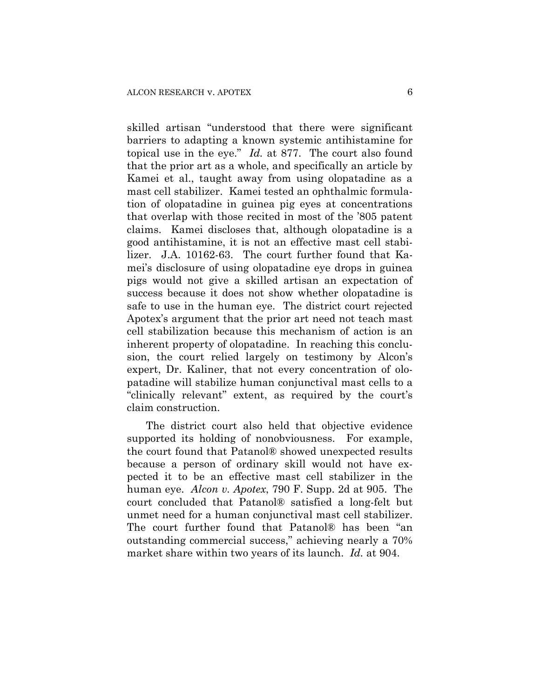skilled artisan "understood that there were significant barriers to adapting a known systemic antihistamine for topical use in the eye." *Id.* at 877. The court also found that the prior art as a whole, and specifically an article by Kamei et al., taught away from using olopatadine as a mast cell stabilizer. Kamei tested an ophthalmic formulation of olopatadine in guinea pig eyes at concentrations that overlap with those recited in most of the '805 patent claims. Kamei discloses that, although olopatadine is a good antihistamine, it is not an effective mast cell stabilizer. J.A. 10162-63. The court further found that Kamei's disclosure of using olopatadine eye drops in guinea pigs would not give a skilled artisan an expectation of success because it does not show whether olopatadine is safe to use in the human eye. The district court rejected Apotex's argument that the prior art need not teach mast cell stabilization because this mechanism of action is an inherent property of olopatadine. In reaching this conclusion, the court relied largely on testimony by Alcon's expert, Dr. Kaliner, that not every concentration of olopatadine will stabilize human conjunctival mast cells to a "clinically relevant" extent, as required by the court's claim construction.

The district court also held that objective evidence supported its holding of nonobviousness. For example, the court found that Patanol® showed unexpected results because a person of ordinary skill would not have expected it to be an effective mast cell stabilizer in the human eye. *Alcon v. Apotex*, 790 F. Supp. 2d at 905. The court concluded that Patanol® satisfied a long-felt but unmet need for a human conjunctival mast cell stabilizer. The court further found that Patanol® has been "an outstanding commercial success," achieving nearly a 70% market share within two years of its launch. *Id.* at 904.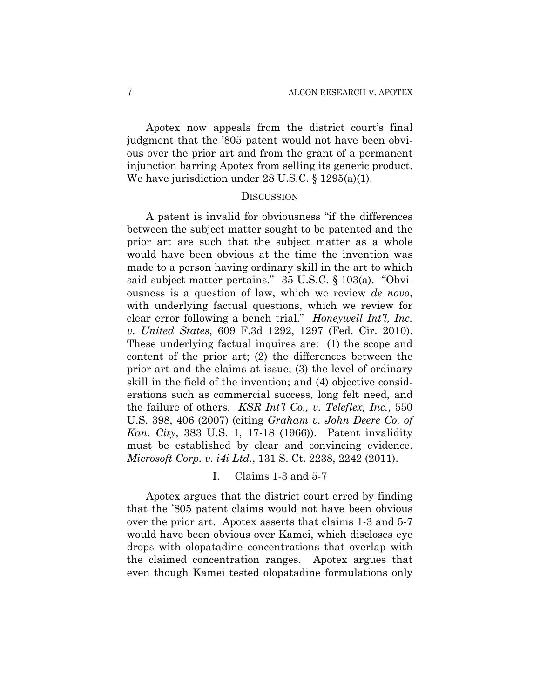Apotex now appeals from the district court's final judgment that the '805 patent would not have been obvious over the prior art and from the grant of a permanent injunction barring Apotex from selling its generic product. We have jurisdiction under 28 U.S.C. § 1295(a)(1).

#### **DISCUSSION**

A patent is invalid for obviousness "if the differences between the subject matter sought to be patented and the prior art are such that the subject matter as a whole would have been obvious at the time the invention was made to a person having ordinary skill in the art to which said subject matter pertains." 35 U.S.C. § 103(a). "Obviousness is a question of law, which we review *de novo*, with underlying factual questions, which we review for clear error following a bench trial." *Honeywell Int'l, Inc. v. United States*, 609 F.3d 1292, 1297 (Fed. Cir. 2010). These underlying factual inquires are: (1) the scope and content of the prior art; (2) the differences between the prior art and the claims at issue; (3) the level of ordinary skill in the field of the invention; and (4) objective considerations such as commercial success, long felt need, and the failure of others. *KSR Int'l Co., v. Teleflex, Inc.*, 550 U.S. 398, 406 (2007) (citing *Graham v. John Deere Co. of Kan. City*, 383 U.S. 1, 17-18 (1966)). Patent invalidity must be established by clear and convincing evidence. *Microsoft Corp. v. i4i Ltd.*, 131 S. Ct. 2238, 2242 (2011).

#### I. Claims 1-3 and 5-7

Apotex argues that the district court erred by finding that the '805 patent claims would not have been obvious over the prior art. Apotex asserts that claims 1-3 and 5-7 would have been obvious over Kamei, which discloses eye drops with olopatadine concentrations that overlap with the claimed concentration ranges. Apotex argues that even though Kamei tested olopatadine formulations only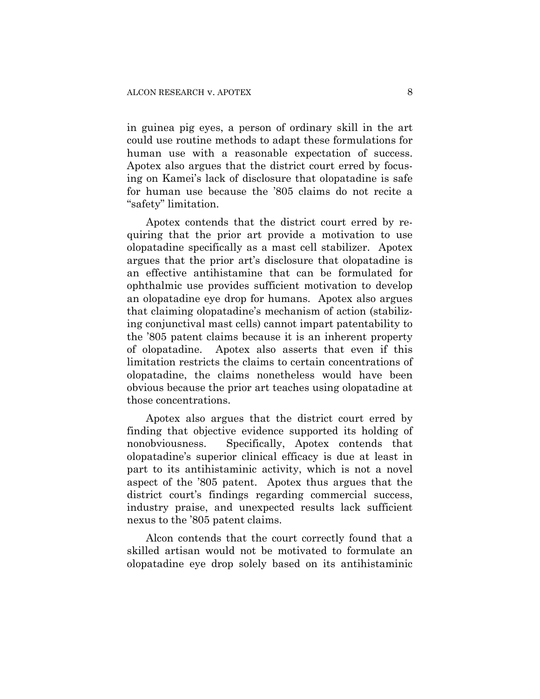in guinea pig eyes, a person of ordinary skill in the art could use routine methods to adapt these formulations for human use with a reasonable expectation of success. Apotex also argues that the district court erred by focusing on Kamei's lack of disclosure that olopatadine is safe for human use because the '805 claims do not recite a "safety" limitation.

Apotex contends that the district court erred by requiring that the prior art provide a motivation to use olopatadine specifically as a mast cell stabilizer. Apotex argues that the prior art's disclosure that olopatadine is an effective antihistamine that can be formulated for ophthalmic use provides sufficient motivation to develop an olopatadine eye drop for humans. Apotex also argues that claiming olopatadine's mechanism of action (stabilizing conjunctival mast cells) cannot impart patentability to the '805 patent claims because it is an inherent property of olopatadine. Apotex also asserts that even if this limitation restricts the claims to certain concentrations of olopatadine, the claims nonetheless would have been obvious because the prior art teaches using olopatadine at those concentrations.

Apotex also argues that the district court erred by finding that objective evidence supported its holding of nonobviousness. Specifically, Apotex contends that olopatadine's superior clinical efficacy is due at least in part to its antihistaminic activity, which is not a novel aspect of the '805 patent. Apotex thus argues that the district court's findings regarding commercial success, industry praise, and unexpected results lack sufficient nexus to the '805 patent claims.

Alcon contends that the court correctly found that a skilled artisan would not be motivated to formulate an olopatadine eye drop solely based on its antihistaminic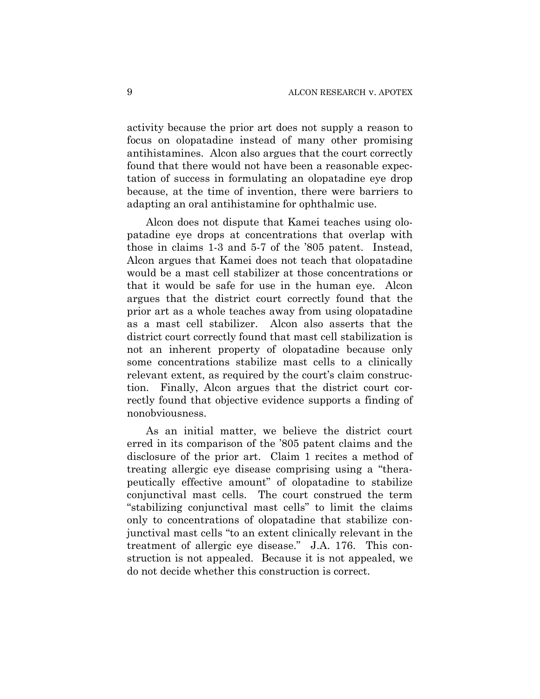activity because the prior art does not supply a reason to focus on olopatadine instead of many other promising antihistamines. Alcon also argues that the court correctly found that there would not have been a reasonable expectation of success in formulating an olopatadine eye drop because, at the time of invention, there were barriers to adapting an oral antihistamine for ophthalmic use.

Alcon does not dispute that Kamei teaches using olopatadine eye drops at concentrations that overlap with those in claims 1-3 and 5-7 of the '805 patent. Instead, Alcon argues that Kamei does not teach that olopatadine would be a mast cell stabilizer at those concentrations or that it would be safe for use in the human eye. Alcon argues that the district court correctly found that the prior art as a whole teaches away from using olopatadine as a mast cell stabilizer. Alcon also asserts that the district court correctly found that mast cell stabilization is not an inherent property of olopatadine because only some concentrations stabilize mast cells to a clinically relevant extent, as required by the court's claim construction. Finally, Alcon argues that the district court correctly found that objective evidence supports a finding of nonobviousness.

As an initial matter, we believe the district court erred in its comparison of the '805 patent claims and the disclosure of the prior art. Claim 1 recites a method of treating allergic eye disease comprising using a "therapeutically effective amount" of olopatadine to stabilize conjunctival mast cells. The court construed the term "stabilizing conjunctival mast cells" to limit the claims only to concentrations of olopatadine that stabilize conjunctival mast cells "to an extent clinically relevant in the treatment of allergic eye disease." J.A. 176. This construction is not appealed. Because it is not appealed, we do not decide whether this construction is correct.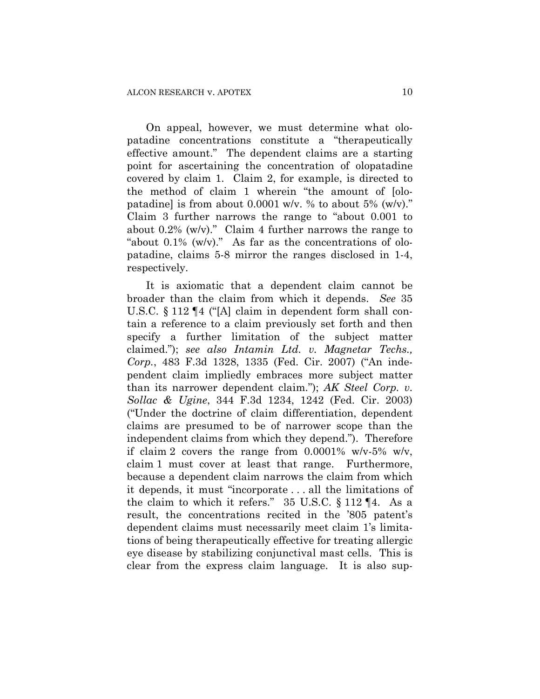On appeal, however, we must determine what olopatadine concentrations constitute a "therapeutically effective amount." The dependent claims are a starting point for ascertaining the concentration of olopatadine covered by claim 1. Claim 2, for example, is directed to the method of claim 1 wherein "the amount of [olopatadine] is from about  $0.0001$  w/v. % to about 5% (w/v)." Claim 3 further narrows the range to "about 0.001 to about  $0.2\%$  (w/v)." Claim 4 further narrows the range to "about  $0.1\%$  (w/v)." As far as the concentrations of olopatadine, claims 5-8 mirror the ranges disclosed in 1-4, respectively.

It is axiomatic that a dependent claim cannot be broader than the claim from which it depends. *See* 35 U.S.C. § 112 ¶4 ("[A] claim in dependent form shall contain a reference to a claim previously set forth and then specify a further limitation of the subject matter claimed."); *see also Intamin Ltd. v. Magnetar Techs., Corp.*, 483 F.3d 1328, 1335 (Fed. Cir. 2007) ("An independent claim impliedly embraces more subject matter than its narrower dependent claim."); *AK Steel Corp. v. Sollac & Ugine*, 344 F.3d 1234, 1242 (Fed. Cir. 2003) ("Under the doctrine of claim differentiation, dependent claims are presumed to be of narrower scope than the independent claims from which they depend."). Therefore if claim 2 covers the range from 0.0001% w/v-5% w/v, claim 1 must cover at least that range. Furthermore, because a dependent claim narrows the claim from which it depends, it must "incorporate . . . all the limitations of the claim to which it refers." 35 U.S.C. § 112 ¶4. As a result, the concentrations recited in the '805 patent's dependent claims must necessarily meet claim 1's limitations of being therapeutically effective for treating allergic eye disease by stabilizing conjunctival mast cells. This is clear from the express claim language. It is also sup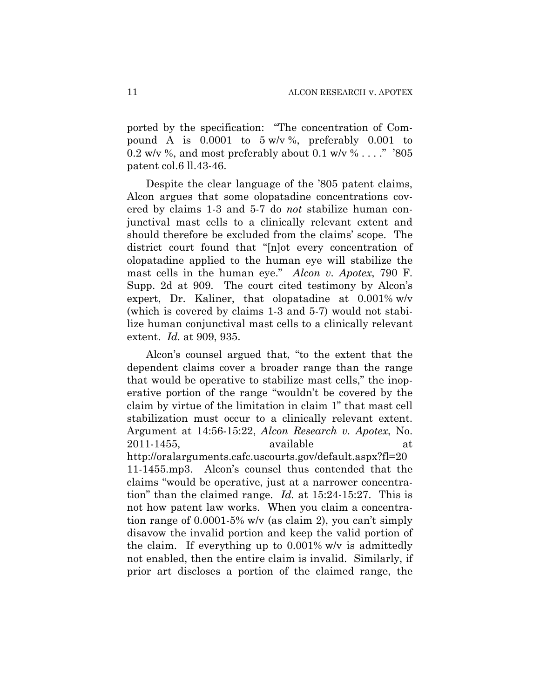ported by the specification: "The concentration of Compound A is  $0.0001$  to  $5 w/v$ %, preferably  $0.001$  to 0.2 w/v %, and most preferably about 0.1 w/v %  $\dots$ ." '805 patent col.6 ll.43-46.

Despite the clear language of the '805 patent claims, Alcon argues that some olopatadine concentrations covered by claims 1-3 and 5-7 do *not* stabilize human conjunctival mast cells to a clinically relevant extent and should therefore be excluded from the claims' scope. The district court found that "[n]ot every concentration of olopatadine applied to the human eye will stabilize the mast cells in the human eye." *Alcon v. Apotex*, 790 F. Supp. 2d at 909. The court cited testimony by Alcon's expert, Dr. Kaliner, that olopatadine at 0.001% w/v (which is covered by claims 1-3 and 5-7) would not stabilize human conjunctival mast cells to a clinically relevant extent. *Id.* at 909, 935.

Alcon's counsel argued that, "to the extent that the dependent claims cover a broader range than the range that would be operative to stabilize mast cells," the inoperative portion of the range "wouldn't be covered by the claim by virtue of the limitation in claim 1" that mast cell stabilization must occur to a clinically relevant extent. Argument at 14:56-15:22, *Alcon Research v. Apotex*, No. 2011-1455, available at http://oralarguments.cafc.uscourts.gov/default.aspx?fl=20 11-1455.mp3. Alcon's counsel thus contended that the claims "would be operative, just at a narrower concentration" than the claimed range. *Id.* at 15:24-15:27. This is not how patent law works. When you claim a concentration range of 0.0001-5% w/v (as claim 2), you can't simply disavow the invalid portion and keep the valid portion of the claim. If everything up to 0.001% w/v is admittedly not enabled, then the entire claim is invalid. Similarly, if prior art discloses a portion of the claimed range, the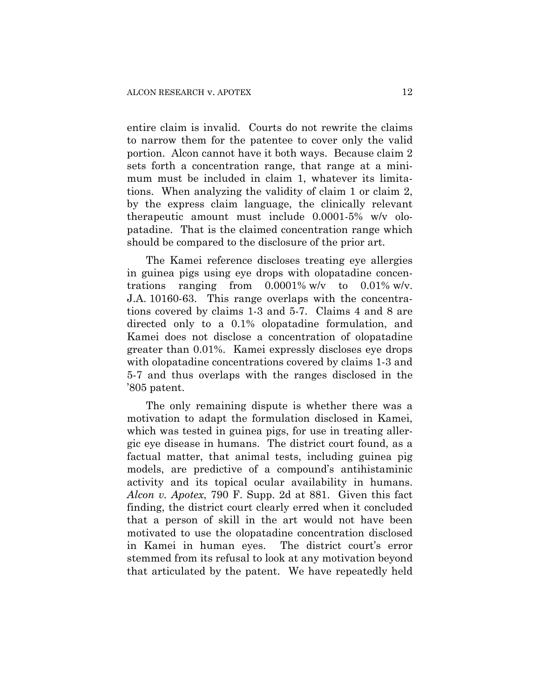entire claim is invalid. Courts do not rewrite the claims to narrow them for the patentee to cover only the valid portion. Alcon cannot have it both ways. Because claim 2 sets forth a concentration range, that range at a minimum must be included in claim 1, whatever its limitations. When analyzing the validity of claim 1 or claim 2, by the express claim language, the clinically relevant therapeutic amount must include 0.0001-5% w/v olopatadine. That is the claimed concentration range which should be compared to the disclosure of the prior art.

The Kamei reference discloses treating eye allergies in guinea pigs using eye drops with olopatadine concentrations ranging from 0.0001% w/v to 0.01% w/v. J.A. 10160-63. This range overlaps with the concentrations covered by claims 1-3 and 5-7. Claims 4 and 8 are directed only to a 0.1% olopatadine formulation, and Kamei does not disclose a concentration of olopatadine greater than 0.01%. Kamei expressly discloses eye drops with olopatadine concentrations covered by claims 1-3 and 5-7 and thus overlaps with the ranges disclosed in the '805 patent.

The only remaining dispute is whether there was a motivation to adapt the formulation disclosed in Kamei, which was tested in guinea pigs, for use in treating allergic eye disease in humans. The district court found, as a factual matter, that animal tests, including guinea pig models, are predictive of a compound's antihistaminic activity and its topical ocular availability in humans. *Alcon v. Apotex*, 790 F. Supp. 2d at 881. Given this fact finding, the district court clearly erred when it concluded that a person of skill in the art would not have been motivated to use the olopatadine concentration disclosed in Kamei in human eyes. The district court's error stemmed from its refusal to look at any motivation beyond that articulated by the patent. We have repeatedly held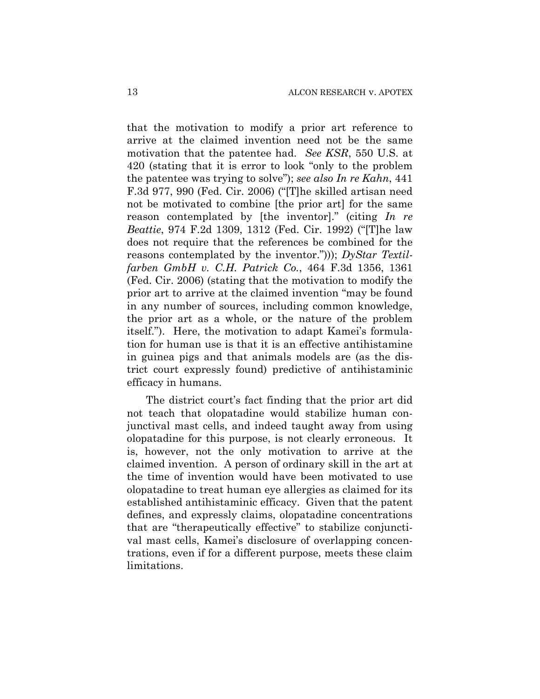that the motivation to modify a prior art reference to arrive at the claimed invention need not be the same motivation that the patentee had. *See KSR*, 550 U.S. at 420 (stating that it is error to look "only to the problem the patentee was trying to solve"); *see also In re Kahn*, 441 F.3d 977, 990 (Fed. Cir. 2006) ("[T]he skilled artisan need not be motivated to combine [the prior art] for the same reason contemplated by [the inventor]." (citing *In re Beattie*, 974 F.2d 1309, 1312 (Fed. Cir. 1992) ("[T]he law does not require that the references be combined for the reasons contemplated by the inventor."))); *DyStar Textilfarben GmbH v. C.H. Patrick Co.*, 464 F.3d 1356, 1361 (Fed. Cir. 2006) (stating that the motivation to modify the prior art to arrive at the claimed invention "may be found in any number of sources, including common knowledge, the prior art as a whole, or the nature of the problem itself."). Here, the motivation to adapt Kamei's formulation for human use is that it is an effective antihistamine in guinea pigs and that animals models are (as the district court expressly found) predictive of antihistaminic efficacy in humans.

The district court's fact finding that the prior art did not teach that olopatadine would stabilize human conjunctival mast cells, and indeed taught away from using olopatadine for this purpose, is not clearly erroneous. It is, however, not the only motivation to arrive at the claimed invention. A person of ordinary skill in the art at the time of invention would have been motivated to use olopatadine to treat human eye allergies as claimed for its established antihistaminic efficacy. Given that the patent defines, and expressly claims, olopatadine concentrations that are "therapeutically effective" to stabilize conjunctival mast cells, Kamei's disclosure of overlapping concentrations, even if for a different purpose, meets these claim limitations.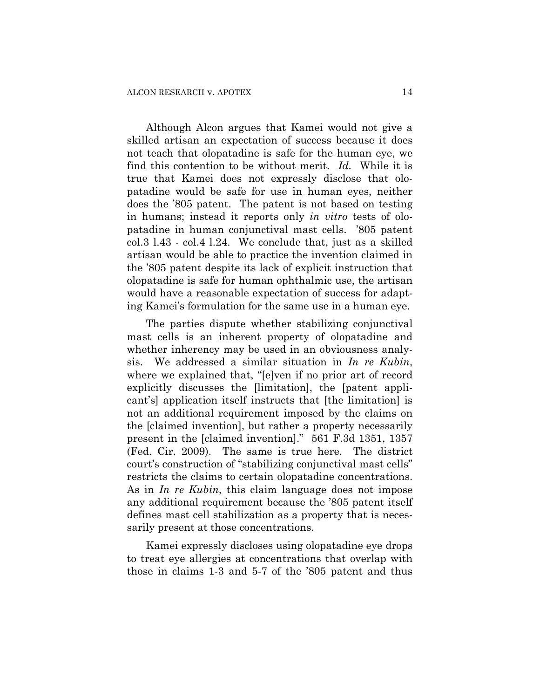Although Alcon argues that Kamei would not give a skilled artisan an expectation of success because it does not teach that olopatadine is safe for the human eye, we find this contention to be without merit. *Id.* While it is true that Kamei does not expressly disclose that olopatadine would be safe for use in human eyes, neither does the '805 patent. The patent is not based on testing in humans; instead it reports only *in vitro* tests of olopatadine in human conjunctival mast cells. '805 patent col.3 l.43 - col.4 l.24. We conclude that, just as a skilled artisan would be able to practice the invention claimed in the '805 patent despite its lack of explicit instruction that olopatadine is safe for human ophthalmic use, the artisan would have a reasonable expectation of success for adapting Kamei's formulation for the same use in a human eye.

The parties dispute whether stabilizing conjunctival mast cells is an inherent property of olopatadine and whether inherency may be used in an obviousness analysis. We addressed a similar situation in *In re Kubin*, where we explained that, "[e]ven if no prior art of record explicitly discusses the [limitation], the [patent applicant's] application itself instructs that [the limitation] is not an additional requirement imposed by the claims on the [claimed invention], but rather a property necessarily present in the [claimed invention]." 561 F.3d 1351, 1357 (Fed. Cir. 2009). The same is true here. The district court's construction of "stabilizing conjunctival mast cells" restricts the claims to certain olopatadine concentrations. As in *In re Kubin*, this claim language does not impose any additional requirement because the '805 patent itself defines mast cell stabilization as a property that is necessarily present at those concentrations.

Kamei expressly discloses using olopatadine eye drops to treat eye allergies at concentrations that overlap with those in claims 1-3 and 5-7 of the '805 patent and thus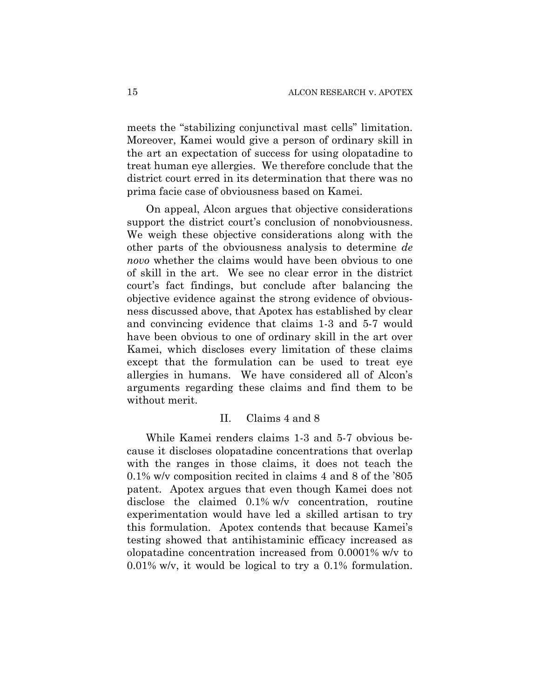meets the "stabilizing conjunctival mast cells" limitation. Moreover, Kamei would give a person of ordinary skill in the art an expectation of success for using olopatadine to treat human eye allergies. We therefore conclude that the district court erred in its determination that there was no prima facie case of obviousness based on Kamei.

On appeal, Alcon argues that objective considerations support the district court's conclusion of nonobviousness. We weigh these objective considerations along with the other parts of the obviousness analysis to determine *de novo* whether the claims would have been obvious to one of skill in the art. We see no clear error in the district court's fact findings, but conclude after balancing the objective evidence against the strong evidence of obviousness discussed above, that Apotex has established by clear and convincing evidence that claims 1-3 and 5-7 would have been obvious to one of ordinary skill in the art over Kamei, which discloses every limitation of these claims except that the formulation can be used to treat eye allergies in humans. We have considered all of Alcon's arguments regarding these claims and find them to be without merit.

## II. Claims 4 and 8

While Kamei renders claims 1-3 and 5-7 obvious because it discloses olopatadine concentrations that overlap with the ranges in those claims, it does not teach the 0.1% w/v composition recited in claims 4 and 8 of the '805 patent. Apotex argues that even though Kamei does not disclose the claimed 0.1% w/v concentration, routine experimentation would have led a skilled artisan to try this formulation. Apotex contends that because Kamei's testing showed that antihistaminic efficacy increased as olopatadine concentration increased from 0.0001% w/v to 0.01% w/v, it would be logical to try a 0.1% formulation.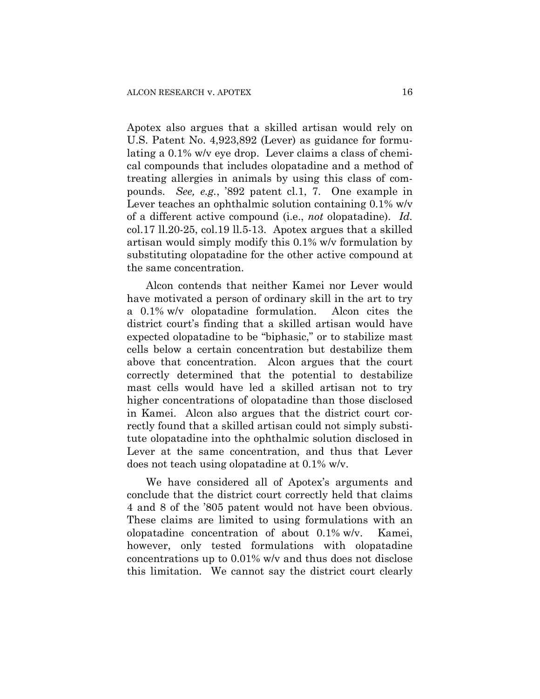Apotex also argues that a skilled artisan would rely on U.S. Patent No. 4,923,892 (Lever) as guidance for formulating a 0.1% w/v eye drop. Lever claims a class of chemical compounds that includes olopatadine and a method of treating allergies in animals by using this class of compounds. *See, e.g.*, '892 patent cl.1, 7. One example in Lever teaches an ophthalmic solution containing 0.1% w/v of a different active compound (i.e., *not* olopatadine). *Id.*  $col.17$  ll.20-25, col.19 ll.5-13. Apotex argues that a skilled artisan would simply modify this 0.1% w/v formulation by substituting olopatadine for the other active compound at the same concentration.

Alcon contends that neither Kamei nor Lever would have motivated a person of ordinary skill in the art to try a 0.1% w/v olopatadine formulation. Alcon cites the district court's finding that a skilled artisan would have expected olopatadine to be "biphasic," or to stabilize mast cells below a certain concentration but destabilize them above that concentration. Alcon argues that the court correctly determined that the potential to destabilize mast cells would have led a skilled artisan not to try higher concentrations of olopatadine than those disclosed in Kamei. Alcon also argues that the district court correctly found that a skilled artisan could not simply substitute olopatadine into the ophthalmic solution disclosed in Lever at the same concentration, and thus that Lever does not teach using olopatadine at 0.1% w/v.

We have considered all of Apotex's arguments and conclude that the district court correctly held that claims 4 and 8 of the '805 patent would not have been obvious. These claims are limited to using formulations with an olopatadine concentration of about 0.1% w/v. Kamei, however, only tested formulations with olopatadine concentrations up to 0.01% w/v and thus does not disclose this limitation. We cannot say the district court clearly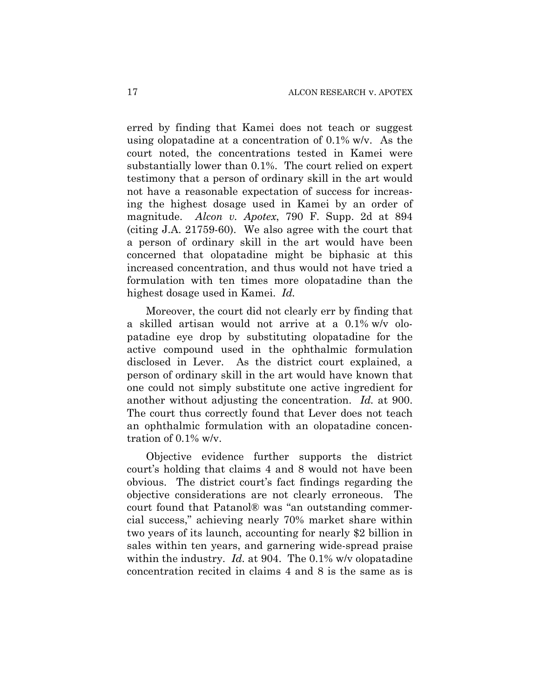erred by finding that Kamei does not teach or suggest using olopatadine at a concentration of 0.1% w/v. As the court noted, the concentrations tested in Kamei were substantially lower than 0.1%. The court relied on expert testimony that a person of ordinary skill in the art would not have a reasonable expectation of success for increasing the highest dosage used in Kamei by an order of magnitude. *Alcon v. Apotex*, 790 F. Supp. 2d at 894 (citing J.A. 21759-60). We also agree with the court that a person of ordinary skill in the art would have been concerned that olopatadine might be biphasic at this increased concentration, and thus would not have tried a formulation with ten times more olopatadine than the highest dosage used in Kamei. *Id.*

Moreover, the court did not clearly err by finding that a skilled artisan would not arrive at a 0.1% w/v olopatadine eye drop by substituting olopatadine for the active compound used in the ophthalmic formulation disclosed in Lever. As the district court explained, a person of ordinary skill in the art would have known that one could not simply substitute one active ingredient for another without adjusting the concentration. *Id.* at 900. The court thus correctly found that Lever does not teach an ophthalmic formulation with an olopatadine concentration of 0.1% w/v.

Objective evidence further supports the district court's holding that claims 4 and 8 would not have been obvious. The district court's fact findings regarding the objective considerations are not clearly erroneous. The court found that Patanol® was "an outstanding commercial success," achieving nearly 70% market share within two years of its launch, accounting for nearly \$2 billion in sales within ten years, and garnering wide-spread praise within the industry. *Id.* at 904. The 0.1% w/v olopatadine concentration recited in claims 4 and 8 is the same as is